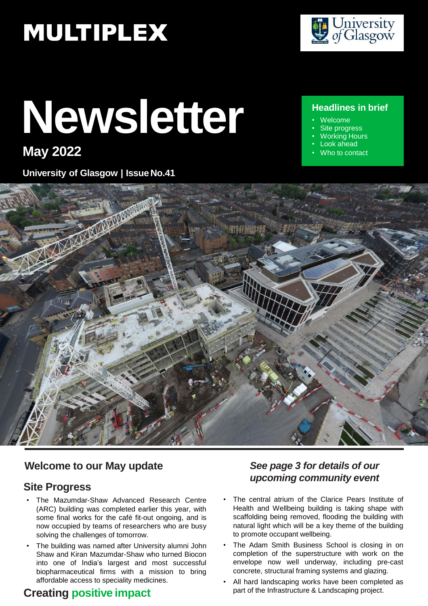# **MULTIPLEX**

# **Newsletter**

# **May 2022**

**University of Glasgow | Issue No.41**



#### **Headlines in brief**

- Welcome
- Site progress
- Working Hours Look ahead
- Who to contact



#### **Welcome to our May update**

#### **Site Progress**

- The Mazumdar-Shaw Advanced Research Centre (ARC) building was completed earlier this year, with some final works for the café fit-out ongoing, and is now occupied by teams of researchers who are busy solving the challenges of tomorrow.
- The building was named after University alumni John Shaw and Kiran Mazumdar-Shaw who turned Biocon into one of India's largest and most successful biopharmaceutical firms with a mission to bring affordable access to speciality medicines.

### **Creating positive impact**

#### *See page 3 for details of our upcoming community event*

- The central atrium of the Clarice Pears Institute of Health and Wellbeing building is taking shape with scaffolding being removed, flooding the building with natural light which will be a key theme of the building to promote occupant wellbeing.
- The Adam Smith Business School is closing in on completion of the superstructure with work on the envelope now well underway, including pre-cast concrete, structural framing systems and glazing.
- All hard landscaping works have been completed as part of the Infrastructure & Landscaping project.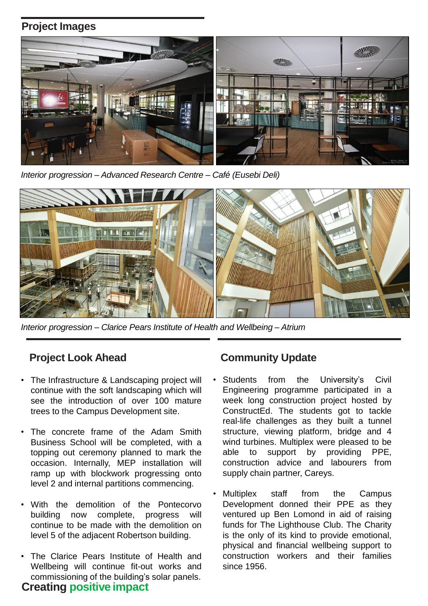#### **Project Images**



*Interior progression – Advanced Research Centre – Café (Eusebi Deli)*



*Interior progression – Clarice Pears Institute of Health and Wellbeing – Atrium*

#### **Project Look Ahead**

- The Infrastructure & Landscaping project will continue with the soft landscaping which will see the introduction of over 100 mature trees to the Campus Development site.
- The concrete frame of the Adam Smith Business School will be completed, with a topping out ceremony planned to mark the occasion. Internally, MEP installation will ramp up with blockwork progressing onto level 2 and internal partitions commencing.
- With the demolition of the Pontecorvo building now complete, progress will continue to be made with the demolition on level 5 of the adjacent Robertson building.
- **Creating positive impact** The Clarice Pears Institute of Health and Wellbeing will continue fit-out works and commissioning of the building's solar panels.

#### **Community Update**

- Students from the University's Civil Engineering programme participated in a week long construction project hosted by ConstructEd. The students got to tackle real-life challenges as they built a tunnel structure, viewing platform, bridge and 4 wind turbines. Multiplex were pleased to be able to support by providing PPE, construction advice and labourers from supply chain partner, Careys.
- Multiplex staff from the Campus Development donned their PPE as they ventured up Ben Lomond in aid of raising funds for The Lighthouse Club. The Charity is the only of its kind to provide emotional, physical and financial wellbeing support to construction workers and their families since 1956.